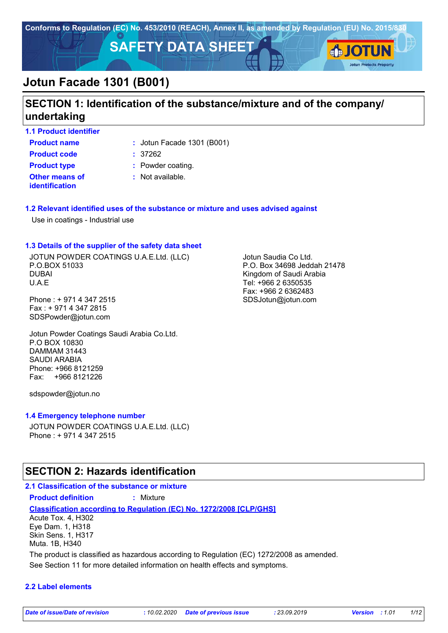

## **SECTION 1: Identification of the substance/mixture and of the company/ undertaking**

**1.1 Product identifier**

**Product name**  $\qquad$ : Jotun Facade 1301 (B001)

**Other means of identification Product code :** 37262 **Product type :** Powder coating.

**:** Not available.

#### **1.2 Relevant identified uses of the substance or mixture and uses advised against**

Use in coatings - Industrial use

#### **1.3 Details of the supplier of the safety data sheet**

JOTUN POWDER COATINGS U.A.E.Ltd. (LLC) P.O.BOX 51033 DUBAI U.A.E

Phone : + 971 4 347 2515 Fax : + 971 4 347 2815 SDSPowder@jotun.com

Jotun Powder Coatings Saudi Arabia Co.Ltd. P.O BOX 10830 DAMMAM 31443 SAUDI ARABIA Phone: +966 8121259 Fax: +966 8121226

sdspowder@jotun.no

#### **1.4 Emergency telephone number**

JOTUN POWDER COATINGS U.A.E.Ltd. (LLC) Phone : + 971 4 347 2515

## **SECTION 2: Hazards identification**

#### **2.1 Classification of the substance or mixture Product definition :** Mixture

**Classification according to Regulation (EC) No. 1272/2008 [CLP/GHS]** Acute Tox. 4, H302

Eye Dam. 1, H318 Skin Sens. 1, H317 Muta. 1B, H340

The product is classified as hazardous according to Regulation (EC) 1272/2008 as amended.

See Section 11 for more detailed information on health effects and symptoms.

#### **2.2 Label elements**

Jotun Saudia Co Ltd. P.O. Box 34698 Jeddah 21478 Kingdom of Saudi Arabia Tel: +966 2 6350535 Fax: +966 2 6362483 SDSJotun@jotun.com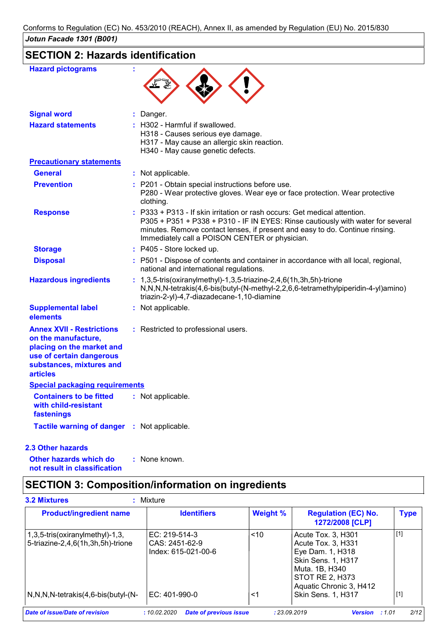## **SECTION 2: Hazards identification**

| <b>Hazard pictograms</b>                                                                                                                                        |                                                                                                                                                                                                                                                                                              |
|-----------------------------------------------------------------------------------------------------------------------------------------------------------------|----------------------------------------------------------------------------------------------------------------------------------------------------------------------------------------------------------------------------------------------------------------------------------------------|
| <b>Signal word</b>                                                                                                                                              | : Danger.                                                                                                                                                                                                                                                                                    |
| <b>Hazard statements</b>                                                                                                                                        | H302 - Harmful if swallowed.<br>H318 - Causes serious eye damage.<br>H317 - May cause an allergic skin reaction.<br>H340 - May cause genetic defects.                                                                                                                                        |
| <b>Precautionary statements</b>                                                                                                                                 |                                                                                                                                                                                                                                                                                              |
| <b>General</b>                                                                                                                                                  | : Not applicable.                                                                                                                                                                                                                                                                            |
| <b>Prevention</b>                                                                                                                                               | : P201 - Obtain special instructions before use.<br>P280 - Wear protective gloves. Wear eye or face protection. Wear protective<br>clothing.                                                                                                                                                 |
| <b>Response</b>                                                                                                                                                 | P333 + P313 - If skin irritation or rash occurs: Get medical attention.<br>P305 + P351 + P338 + P310 - IF IN EYES: Rinse cautiously with water for several<br>minutes. Remove contact lenses, if present and easy to do. Continue rinsing.<br>Immediately call a POISON CENTER or physician. |
| <b>Storage</b>                                                                                                                                                  | : P405 - Store locked up.                                                                                                                                                                                                                                                                    |
| <b>Disposal</b>                                                                                                                                                 | : P501 - Dispose of contents and container in accordance with all local, regional,<br>national and international regulations.                                                                                                                                                                |
| <b>Hazardous ingredients</b>                                                                                                                                    | : 1,3,5-tris(oxiranylmethyl)-1,3,5-triazine-2,4,6(1h,3h,5h)-trione<br>N,N,N,N-tetrakis(4,6-bis(butyl-(N-methyl-2,2,6,6-tetramethylpiperidin-4-yl)amino)<br>triazin-2-yl)-4,7-diazadecane-1,10-diamine                                                                                        |
| <b>Supplemental label</b><br>elements                                                                                                                           | : Not applicable.                                                                                                                                                                                                                                                                            |
| <b>Annex XVII - Restrictions</b><br>on the manufacture,<br>placing on the market and<br>use of certain dangerous<br>substances, mixtures and<br><b>articles</b> | : Restricted to professional users.                                                                                                                                                                                                                                                          |
| <b>Special packaging requirements</b>                                                                                                                           |                                                                                                                                                                                                                                                                                              |
| <b>Containers to be fitted</b><br>with child-resistant<br>fastenings                                                                                            | : Not applicable.                                                                                                                                                                                                                                                                            |
| Tactile warning of danger : Not applicable.                                                                                                                     |                                                                                                                                                                                                                                                                                              |

#### **2.3 Other hazards**

**Other hazards which do : not result in classification** : None known.

## **SECTION 3: Composition/information on ingredients**

| <b>Product/ingredient name</b>                                       | <b>Identifiers</b>                                     | <b>Weight %</b> | <b>Regulation (EC) No.</b><br>1272/2008 [CLP]                                                                                                      | <b>Type</b> |
|----------------------------------------------------------------------|--------------------------------------------------------|-----------------|----------------------------------------------------------------------------------------------------------------------------------------------------|-------------|
| 1,3,5-tris(oxiranylmethyl)-1,3,<br>5-triazine-2,4,6(1h,3h,5h)-trione | EC: 219-514-3<br>CAS: 2451-62-9<br>Index: 615-021-00-6 | ~10             | Acute Tox. 3, H301<br>Acute Tox. 3, H331<br>Eye Dam. 1, H318<br>Skin Sens. 1, H317<br>Muta. 1B, H340<br>STOT RE 2, H373<br>Aquatic Chronic 3, H412 | $[1]$       |
| $N, N, N$ -tetrakis $(4, 6$ -bis $(buty)-(N-$                        | EC: 401-990-0                                          | $<$ 1           | Skin Sens. 1, H317                                                                                                                                 | $[1]$       |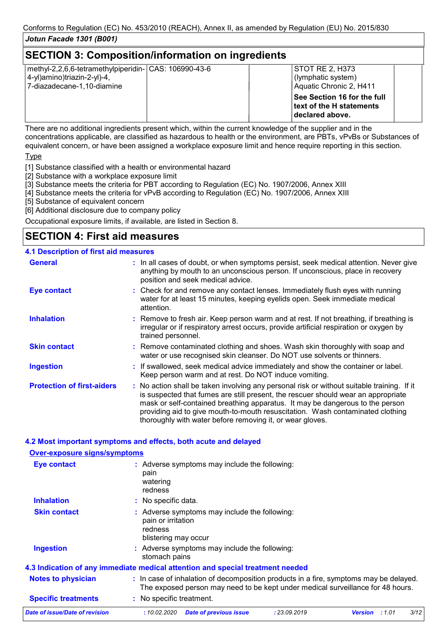## **SECTION 3: Composition/information on ingredients**

| methyl-2,2,6,6-tetramethylpiperidin- CAS: 106990-43-6<br>4-yl)amino)triazin-2-yl)-4,<br>7-diazadecane-1,10-diamine | <b>STOT RE 2, H373</b><br>(lymphatic system)<br>Aquatic Chronic 2, H411     |  |
|--------------------------------------------------------------------------------------------------------------------|-----------------------------------------------------------------------------|--|
|                                                                                                                    | See Section 16 for the full<br>text of the H statements<br>∣declared above. |  |

There are no additional ingredients present which, within the current knowledge of the supplier and in the concentrations applicable, are classified as hazardous to health or the environment, are PBTs, vPvBs or Substances of equivalent concern, or have been assigned a workplace exposure limit and hence require reporting in this section.

Type

[1] Substance classified with a health or environmental hazard

- [2] Substance with a workplace exposure limit
- [3] Substance meets the criteria for PBT according to Regulation (EC) No. 1907/2006, Annex XIII
- [4] Substance meets the criteria for vPvB according to Regulation (EC) No. 1907/2006, Annex XIII
- [5] Substance of equivalent concern
- [6] Additional disclosure due to company policy

Occupational exposure limits, if available, are listed in Section 8.

## **SECTION 4: First aid measures**

#### **4.1 Description of first aid measures**

**Over-exposure signs/symptoms**

| <b>General</b>                    | : In all cases of doubt, or when symptoms persist, seek medical attention. Never give<br>anything by mouth to an unconscious person. If unconscious, place in recovery<br>position and seek medical advice.                                                                                                                                                                                                     |  |
|-----------------------------------|-----------------------------------------------------------------------------------------------------------------------------------------------------------------------------------------------------------------------------------------------------------------------------------------------------------------------------------------------------------------------------------------------------------------|--|
| <b>Eye contact</b>                | : Check for and remove any contact lenses. Immediately flush eyes with running<br>water for at least 15 minutes, keeping eyelids open. Seek immediate medical<br>attention.                                                                                                                                                                                                                                     |  |
| <b>Inhalation</b>                 | : Remove to fresh air. Keep person warm and at rest. If not breathing, if breathing is<br>irregular or if respiratory arrest occurs, provide artificial respiration or oxygen by<br>trained personnel.                                                                                                                                                                                                          |  |
| <b>Skin contact</b>               | : Remove contaminated clothing and shoes. Wash skin thoroughly with soap and<br>water or use recognised skin cleanser. Do NOT use solvents or thinners.                                                                                                                                                                                                                                                         |  |
| <b>Ingestion</b>                  | : If swallowed, seek medical advice immediately and show the container or label.<br>Keep person warm and at rest. Do NOT induce vomiting.                                                                                                                                                                                                                                                                       |  |
| <b>Protection of first-aiders</b> | : No action shall be taken involving any personal risk or without suitable training. If it<br>is suspected that fumes are still present, the rescuer should wear an appropriate<br>mask or self-contained breathing apparatus. It may be dangerous to the person<br>providing aid to give mouth-to-mouth resuscitation. Wash contaminated clothing<br>thoroughly with water before removing it, or wear gloves. |  |

#### **4.2 Most important symptoms and effects, both acute and delayed**

| Over-exposure signs/symptoms   |                                                                                                                                                                          |  |  |  |  |
|--------------------------------|--------------------------------------------------------------------------------------------------------------------------------------------------------------------------|--|--|--|--|
| Eye contact                    | : Adverse symptoms may include the following:<br>pain<br>watering<br>redness                                                                                             |  |  |  |  |
| <b>Inhalation</b>              | : No specific data.                                                                                                                                                      |  |  |  |  |
| <b>Skin contact</b>            | : Adverse symptoms may include the following:<br>pain or irritation<br>redness<br>blistering may occur                                                                   |  |  |  |  |
| <b>Ingestion</b>               | : Adverse symptoms may include the following:<br>stomach pains                                                                                                           |  |  |  |  |
|                                | 4.3 Indication of any immediate medical attention and special treatment needed                                                                                           |  |  |  |  |
| <b>Notes to physician</b>      | : In case of inhalation of decomposition products in a fire, symptoms may be delayed.<br>The exposed person may need to be kept under medical surveillance for 48 hours. |  |  |  |  |
| <b>Specific treatments</b>     | : No specific treatment.                                                                                                                                                 |  |  |  |  |
| Date of issue/Date of revision | 3/12<br><b>Date of previous issue</b><br>: 23.09.2019<br>: 10.02.2020<br><b>Version</b><br>:1.01                                                                         |  |  |  |  |
|                                |                                                                                                                                                                          |  |  |  |  |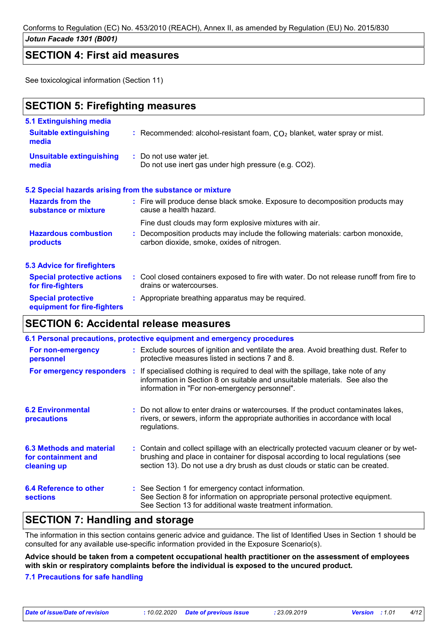Conforms to Regulation (EC) No. 453/2010 (REACH), Annex II, as amended by Regulation (EU) No. 2015/830

#### *Jotun Facade 1301 (B001)*

### **SECTION 4: First aid measures**

See toxicological information (Section 11)

## **SECTION 5: Firefighting measures**

| 5.1 Extinguishing media                                |                                                                                                                              |
|--------------------------------------------------------|------------------------------------------------------------------------------------------------------------------------------|
| <b>Suitable extinguishing</b><br>media                 | : Recommended: alcohol-resistant foam, $CO2$ blanket, water spray or mist.                                                   |
| <b>Unsuitable extinguishing</b><br>media               | : Do not use water jet.<br>Do not use inert gas under high pressure (e.g. CO2).                                              |
|                                                        | 5.2 Special hazards arising from the substance or mixture                                                                    |
| <b>Hazards from the</b><br>substance or mixture        | : Fire will produce dense black smoke. Exposure to decomposition products may<br>cause a health hazard.                      |
|                                                        | Fine dust clouds may form explosive mixtures with air.                                                                       |
| <b>Hazardous combustion</b><br>products                | : Decomposition products may include the following materials: carbon monoxide,<br>carbon dioxide, smoke, oxides of nitrogen. |
| <b>5.3 Advice for firefighters</b>                     |                                                                                                                              |
| <b>Special protective actions</b><br>for fire-fighters | : Cool closed containers exposed to fire with water. Do not release runoff from fire to<br>drains or watercourses.           |
| <b>Special protective</b>                              | : Appropriate breathing apparatus may be required.                                                                           |

## **SECTION 6: Accidental release measures**

**equipment for fire-fighters**

|                                                                       | 6.1 Personal precautions, protective equipment and emergency procedures |                                                                                                                                                                                                                                                             |  |  |  |
|-----------------------------------------------------------------------|-------------------------------------------------------------------------|-------------------------------------------------------------------------------------------------------------------------------------------------------------------------------------------------------------------------------------------------------------|--|--|--|
| For non-emergency<br>personnel                                        |                                                                         | : Exclude sources of ignition and ventilate the area. Avoid breathing dust. Refer to<br>protective measures listed in sections 7 and 8.                                                                                                                     |  |  |  |
| For emergency responders :                                            |                                                                         | If specialised clothing is required to deal with the spillage, take note of any<br>information in Section 8 on suitable and unsuitable materials. See also the<br>information in "For non-emergency personnel".                                             |  |  |  |
| <b>6.2 Environmental</b><br>precautions                               |                                                                         | : Do not allow to enter drains or watercourses. If the product contaminates lakes,<br>rivers, or sewers, inform the appropriate authorities in accordance with local<br>regulations.                                                                        |  |  |  |
| <b>6.3 Methods and material</b><br>for containment and<br>cleaning up |                                                                         | : Contain and collect spillage with an electrically protected vacuum cleaner or by wet-<br>brushing and place in container for disposal according to local regulations (see<br>section 13). Do not use a dry brush as dust clouds or static can be created. |  |  |  |
| 6.4 Reference to other<br><b>sections</b>                             |                                                                         | : See Section 1 for emergency contact information.<br>See Section 8 for information on appropriate personal protective equipment.<br>See Section 13 for additional waste treatment information.                                                             |  |  |  |

## **SECTION 7: Handling and storage**

The information in this section contains generic advice and guidance. The list of Identified Uses in Section 1 should be consulted for any available use-specific information provided in the Exposure Scenario(s).

**Advice should be taken from a competent occupational health practitioner on the assessment of employees with skin or respiratory complaints before the individual is exposed to the uncured product.**

#### **7.1 Precautions for safe handling**

*Date of issue/Date of revision* **:** *10.02.2020 Date of previous issue : 23.09.2019 Version : 1.01 4/12*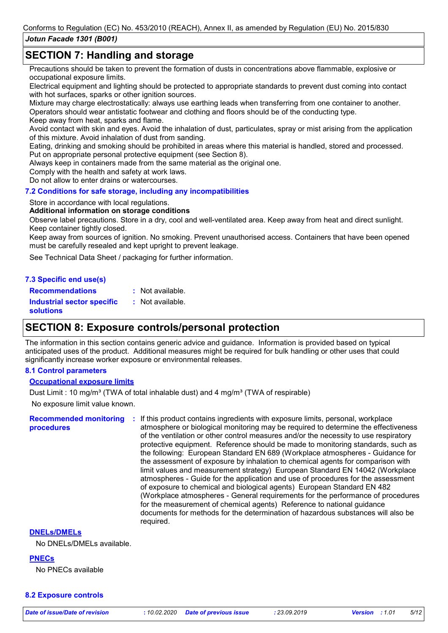## **SECTION 7: Handling and storage**

Precautions should be taken to prevent the formation of dusts in concentrations above flammable, explosive or occupational exposure limits.

Electrical equipment and lighting should be protected to appropriate standards to prevent dust coming into contact with hot surfaces, sparks or other ignition sources.

Mixture may charge electrostatically: always use earthing leads when transferring from one container to another. Operators should wear antistatic footwear and clothing and floors should be of the conducting type.

Keep away from heat, sparks and flame.

Avoid contact with skin and eyes. Avoid the inhalation of dust, particulates, spray or mist arising from the application of this mixture. Avoid inhalation of dust from sanding.

Eating, drinking and smoking should be prohibited in areas where this material is handled, stored and processed. Put on appropriate personal protective equipment (see Section 8).

Always keep in containers made from the same material as the original one.

Comply with the health and safety at work laws.

Do not allow to enter drains or watercourses.

#### **7.2 Conditions for safe storage, including any incompatibilities**

#### Store in accordance with local regulations.

#### **Additional information on storage conditions**

Observe label precautions. Store in a dry, cool and well-ventilated area. Keep away from heat and direct sunlight. Keep container tightly closed.

Keep away from sources of ignition. No smoking. Prevent unauthorised access. Containers that have been opened must be carefully resealed and kept upright to prevent leakage.

See Technical Data Sheet / packaging for further information.

#### **7.3 Specific end use(s) Recommendations :**

: Not available.

**Industrial sector specific : solutions** : Not available.

## **SECTION 8: Exposure controls/personal protection**

The information in this section contains generic advice and guidance. Information is provided based on typical anticipated uses of the product. Additional measures might be required for bulk handling or other uses that could significantly increase worker exposure or environmental releases.

#### **8.1 Control parameters**

#### **Occupational exposure limits**

No exposure limit value known. Dust Limit : 10 mg/m<sup>3</sup> (TWA of total inhalable dust) and 4 mg/m<sup>3</sup> (TWA of respirable)

**Recommended monitoring procedures**

**:** If this product contains ingredients with exposure limits, personal, workplace atmosphere or biological monitoring may be required to determine the effectiveness of the ventilation or other control measures and/or the necessity to use respiratory protective equipment. Reference should be made to monitoring standards, such as the following: European Standard EN 689 (Workplace atmospheres - Guidance for the assessment of exposure by inhalation to chemical agents for comparison with limit values and measurement strategy) European Standard EN 14042 (Workplace atmospheres - Guide for the application and use of procedures for the assessment of exposure to chemical and biological agents) European Standard EN 482 (Workplace atmospheres - General requirements for the performance of procedures for the measurement of chemical agents) Reference to national guidance documents for methods for the determination of hazardous substances will also be required.

#### **DNELs/DMELs**

No DNELs/DMELs available.

**PNECs**

No PNECs available

#### **8.2 Exposure controls**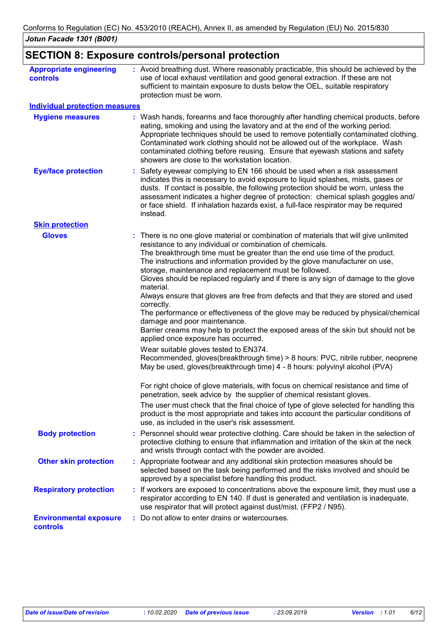## **SECTION 8: Exposure controls/personal protection**

| <b>Appropriate engineering</b><br>controls<br><b>Individual protection measures</b> | : Avoid breathing dust. Where reasonably practicable, this should be achieved by the<br>use of local exhaust ventilation and good general extraction. If these are not<br>sufficient to maintain exposure to dusts below the OEL, suitable respiratory<br>protection must be worn.                                                                                                                                                                                                                                                                                                                                                                                                                                                                                                                                                                                                                                                                                                                                                                                                                                                                                                                                                                                                                                                                                                             |  |
|-------------------------------------------------------------------------------------|------------------------------------------------------------------------------------------------------------------------------------------------------------------------------------------------------------------------------------------------------------------------------------------------------------------------------------------------------------------------------------------------------------------------------------------------------------------------------------------------------------------------------------------------------------------------------------------------------------------------------------------------------------------------------------------------------------------------------------------------------------------------------------------------------------------------------------------------------------------------------------------------------------------------------------------------------------------------------------------------------------------------------------------------------------------------------------------------------------------------------------------------------------------------------------------------------------------------------------------------------------------------------------------------------------------------------------------------------------------------------------------------|--|
|                                                                                     |                                                                                                                                                                                                                                                                                                                                                                                                                                                                                                                                                                                                                                                                                                                                                                                                                                                                                                                                                                                                                                                                                                                                                                                                                                                                                                                                                                                                |  |
| <b>Hygiene measures</b>                                                             | : Wash hands, forearms and face thoroughly after handling chemical products, before<br>eating, smoking and using the lavatory and at the end of the working period.<br>Appropriate techniques should be used to remove potentially contaminated clothing.<br>Contaminated work clothing should not be allowed out of the workplace. Wash<br>contaminated clothing before reusing. Ensure that eyewash stations and safety<br>showers are close to the workstation location.                                                                                                                                                                                                                                                                                                                                                                                                                                                                                                                                                                                                                                                                                                                                                                                                                                                                                                                    |  |
| <b>Eye/face protection</b>                                                          | : Safety eyewear complying to EN 166 should be used when a risk assessment<br>indicates this is necessary to avoid exposure to liquid splashes, mists, gases or<br>dusts. If contact is possible, the following protection should be worn, unless the<br>assessment indicates a higher degree of protection: chemical splash goggles and/<br>or face shield. If inhalation hazards exist, a full-face respirator may be required<br>instead.                                                                                                                                                                                                                                                                                                                                                                                                                                                                                                                                                                                                                                                                                                                                                                                                                                                                                                                                                   |  |
| <b>Skin protection</b>                                                              |                                                                                                                                                                                                                                                                                                                                                                                                                                                                                                                                                                                                                                                                                                                                                                                                                                                                                                                                                                                                                                                                                                                                                                                                                                                                                                                                                                                                |  |
| <b>Gloves</b>                                                                       | : There is no one glove material or combination of materials that will give unlimited<br>resistance to any individual or combination of chemicals.<br>The breakthrough time must be greater than the end use time of the product.<br>The instructions and information provided by the glove manufacturer on use,<br>storage, maintenance and replacement must be followed.<br>Gloves should be replaced regularly and if there is any sign of damage to the glove<br>material.<br>Always ensure that gloves are free from defects and that they are stored and used<br>correctly.<br>The performance or effectiveness of the glove may be reduced by physical/chemical<br>damage and poor maintenance.<br>Barrier creams may help to protect the exposed areas of the skin but should not be<br>applied once exposure has occurred.<br>Wear suitable gloves tested to EN374.<br>Recommended, gloves(breakthrough time) > 8 hours: PVC, nitrile rubber, neoprene<br>May be used, gloves(breakthrough time) 4 - 8 hours: polyvinyl alcohol (PVA)<br>For right choice of glove materials, with focus on chemical resistance and time of<br>penetration, seek advice by the supplier of chemical resistant gloves.<br>The user must check that the final choice of type of glove selected for handling this<br>product is the most appropriate and takes into account the particular conditions of |  |
| <b>Body protection</b>                                                              | use, as included in the user's risk assessment.<br>: Personnel should wear protective clothing. Care should be taken in the selection of<br>protective clothing to ensure that inflammation and irritation of the skin at the neck                                                                                                                                                                                                                                                                                                                                                                                                                                                                                                                                                                                                                                                                                                                                                                                                                                                                                                                                                                                                                                                                                                                                                             |  |
|                                                                                     | and wrists through contact with the powder are avoided.                                                                                                                                                                                                                                                                                                                                                                                                                                                                                                                                                                                                                                                                                                                                                                                                                                                                                                                                                                                                                                                                                                                                                                                                                                                                                                                                        |  |
| <b>Other skin protection</b>                                                        | : Appropriate footwear and any additional skin protection measures should be<br>selected based on the task being performed and the risks involved and should be<br>approved by a specialist before handling this product.                                                                                                                                                                                                                                                                                                                                                                                                                                                                                                                                                                                                                                                                                                                                                                                                                                                                                                                                                                                                                                                                                                                                                                      |  |
| <b>Respiratory protection</b>                                                       | : If workers are exposed to concentrations above the exposure limit, they must use a<br>respirator according to EN 140. If dust is generated and ventilation is inadequate,<br>use respirator that will protect against dust/mist. (FFP2 / N95).                                                                                                                                                                                                                                                                                                                                                                                                                                                                                                                                                                                                                                                                                                                                                                                                                                                                                                                                                                                                                                                                                                                                               |  |
| <b>Environmental exposure</b><br>controls                                           | : Do not allow to enter drains or watercourses.                                                                                                                                                                                                                                                                                                                                                                                                                                                                                                                                                                                                                                                                                                                                                                                                                                                                                                                                                                                                                                                                                                                                                                                                                                                                                                                                                |  |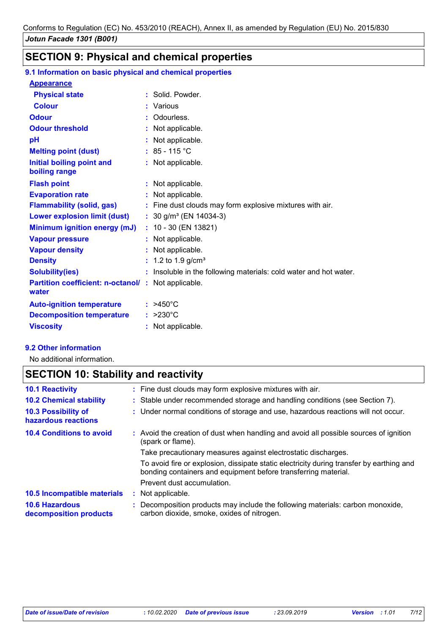# **SECTION 9: Physical and chemical properties**

#### **9.1 Information on basic physical and chemical properties**

| <b>Appearance</b>                                                   |    |                                                                   |
|---------------------------------------------------------------------|----|-------------------------------------------------------------------|
| <b>Physical state</b>                                               | t. | Solid, Powder,                                                    |
| <b>Colour</b>                                                       |    | : Various                                                         |
| <b>Odour</b>                                                        |    | : Odourless.                                                      |
| <b>Odour threshold</b>                                              |    | : Not applicable.                                                 |
| pH                                                                  |    | : Not applicable.                                                 |
| <b>Melting point (dust)</b>                                         |    | $: 85 - 115 °C$                                                   |
| Initial boiling point and<br>boiling range                          |    | : Not applicable.                                                 |
| <b>Flash point</b>                                                  |    | : Not applicable.                                                 |
| <b>Evaporation rate</b>                                             |    | : Not applicable.                                                 |
| <b>Flammability (solid, gas)</b>                                    |    | : Fine dust clouds may form explosive mixtures with air.          |
| <b>Lower explosion limit (dust)</b>                                 |    | : $30$ g/m <sup>3</sup> (EN 14034-3)                              |
| <b>Minimum ignition energy (mJ)</b>                                 |    | $: 10 - 30$ (EN 13821)                                            |
| <b>Vapour pressure</b>                                              |    | : Not applicable.                                                 |
| <b>Vapour density</b>                                               |    | : Not applicable.                                                 |
| <b>Density</b>                                                      |    | : 1.2 to 1.9 $g/cm3$                                              |
| <b>Solubility(ies)</b>                                              |    | : Insoluble in the following materials: cold water and hot water. |
| <b>Partition coefficient: n-octanol/ : Not applicable.</b><br>water |    |                                                                   |
| <b>Auto-ignition temperature</b>                                    |    | $: >450^{\circ}$ C                                                |
| <b>Decomposition temperature</b>                                    |    | $: >230^{\circ}$ C                                                |
| <b>Viscosity</b>                                                    |    | : Not applicable.                                                 |

#### **9.2 Other information**

No additional information.

## **SECTION 10: Stability and reactivity**

| <b>10.1 Reactivity</b>                          |   | : Fine dust clouds may form explosive mixtures with air.                                                                                                   |
|-------------------------------------------------|---|------------------------------------------------------------------------------------------------------------------------------------------------------------|
| <b>10.2 Chemical stability</b>                  |   | : Stable under recommended storage and handling conditions (see Section 7).                                                                                |
| 10.3 Possibility of<br>hazardous reactions      |   | : Under normal conditions of storage and use, hazardous reactions will not occur.                                                                          |
| <b>10.4 Conditions to avoid</b>                 |   | : Avoid the creation of dust when handling and avoid all possible sources of ignition<br>(spark or flame).                                                 |
|                                                 |   | Take precautionary measures against electrostatic discharges.                                                                                              |
|                                                 |   | To avoid fire or explosion, dissipate static electricity during transfer by earthing and<br>bonding containers and equipment before transferring material. |
|                                                 |   | Prevent dust accumulation.                                                                                                                                 |
| <b>10.5 Incompatible materials</b>              | ÷ | Not applicable.                                                                                                                                            |
| <b>10.6 Hazardous</b><br>decomposition products |   | : Decomposition products may include the following materials: carbon monoxide,<br>carbon dioxide, smoke, oxides of nitrogen.                               |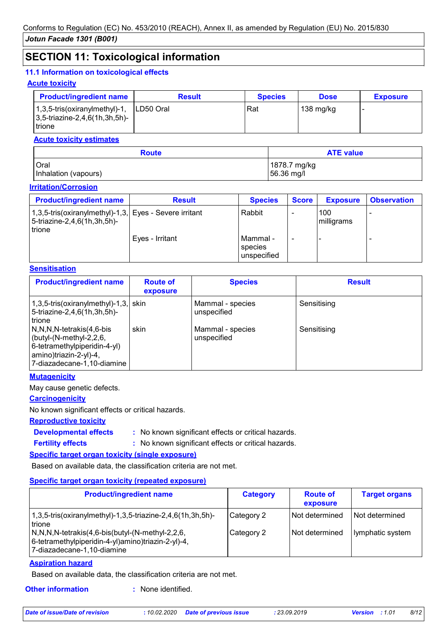## **SECTION 11: Toxicological information**

#### **11.1 Information on toxicological effects**

#### **Acute toxicity**

| <b>Product/ingredient name</b>                                                                | <b>Result</b> | <b>Species</b> | <b>Dose</b> | <b>Exposure</b> |
|-----------------------------------------------------------------------------------------------|---------------|----------------|-------------|-----------------|
| $\vert$ 1,3,5-tris(oxiranylmethyl)-1,<br>$ 3,5\text{-}$ triazine-2,4,6(1h,3h,5h)-<br>l trione | ILD50 Oral    | Rat            | 138 mg/kg   |                 |

#### **Acute toxicity estimates**

| <b>Route</b>         | <b>ATE value</b> |
|----------------------|------------------|
| <b>Oral</b>          | 1878.7 mg/kg     |
| Inhalation (vapours) | 56.36 mg/l       |

#### **Irritation/Corrosion**

| <b>Product/ingredient name</b>                                                                           | <b>Result</b>   | <b>Species</b>                     | <b>Score</b> | <b>Exposure</b>   | <b>Observation</b> |
|----------------------------------------------------------------------------------------------------------|-----------------|------------------------------------|--------------|-------------------|--------------------|
| 1,3,5-tris(oxiranylmethyl)-1,3, Eyes - Severe irritant<br>5-triazine-2,4,6(1h,3h,5h)-<br><b>I</b> trione |                 | Rabbit                             |              | 100<br>milligrams |                    |
|                                                                                                          | Eyes - Irritant | Mammal -<br>species<br>unspecified |              |                   |                    |

#### **Sensitisation**

| <b>Product/ingredient name</b>                                                                                                                        | <b>Route of</b><br>exposure | <b>Species</b>                  | <b>Result</b> |
|-------------------------------------------------------------------------------------------------------------------------------------------------------|-----------------------------|---------------------------------|---------------|
| $1,3,5$ -tris(oxiranylmethyl)-1,3, skin<br>5-triazine-2,4,6(1h,3h,5h)-<br>trione                                                                      |                             | Mammal - species<br>unspecified | Sensitising   |
| N,N,N,N-tetrakis(4,6-bis<br>$\vert$ (butyl-(N-methyl-2,2,6,<br>6-tetramethylpiperidin-4-yl)<br>  amino)triazin-2-yl)-4,<br>7-diazadecane-1,10-diamine | skin                        | Mammal - species<br>unspecified | Sensitising   |

#### **Mutagenicity**

May cause genetic defects.

#### **Carcinogenicity**

No known significant effects or critical hazards.

#### **Reproductive toxicity**

**Developmental effects :**

**Fertility effects :**

: No known significant effects or critical hazards.

: No known significant effects or critical hazards.

#### **Specific target organ toxicity (single exposure)**

Based on available data, the classification criteria are not met.

#### **Specific target organ toxicity (repeated exposure)**

| <b>Product/ingredient name</b>                                                                                                                                                                                                                                                                 | <b>Category</b>          | <b>Route of</b><br>exposure      | <b>Target organs</b>                 |
|------------------------------------------------------------------------------------------------------------------------------------------------------------------------------------------------------------------------------------------------------------------------------------------------|--------------------------|----------------------------------|--------------------------------------|
| $1,3,5$ -tris(oxiranylmethyl)-1,3,5-triazine-2,4,6(1h,3h,5h)-<br><b>Itrione</b><br>$\left(N, N, N\right)$ -tetrakis $\left(4, 6\right)$ -bis $\left(\frac{1}{2}\right)$ - $\left(N\right)$ -methyl-2,2,6,<br> 6-tetramethylpiperidin-4-yl)amino)triazin-2-yl)-4,<br>7-diazadecane-1,10-diamine | Category 2<br>Category 2 | Not determined<br>Not determined | l Not determined<br>Iymphatic system |

#### **Aspiration hazard**

Based on available data, the classification criteria are not met.

**Other information :**

: None identified.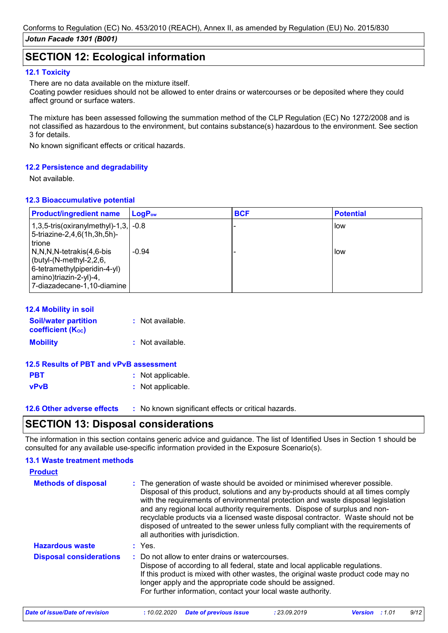## **SECTION 12: Ecological information**

#### **12.1 Toxicity**

There are no data available on the mixture itself.

Coating powder residues should not be allowed to enter drains or watercourses or be deposited where they could affect ground or surface waters.

The mixture has been assessed following the summation method of the CLP Regulation (EC) No 1272/2008 and is not classified as hazardous to the environment, but contains substance(s) hazardous to the environment. See section 3 for details.

No known significant effects or critical hazards.

#### **12.2 Persistence and degradability**

Not available.

#### **12.3 Bioaccumulative potential**

| <b>Product/ingredient name</b>                                                                                                              | $LogP_{ow}$ | <b>BCF</b> | <b>Potential</b> |
|---------------------------------------------------------------------------------------------------------------------------------------------|-------------|------------|------------------|
| 1,3,5-tris(oxiranylmethyl)-1,3, $\sim$ -0.8<br>5-triazine-2,4,6(1h,3h,5h)-<br>trione                                                        |             |            | <b>I</b> low     |
| N,N,N,N-tetrakis(4,6-bis<br>(butyl-(N-methyl-2,2,6,<br>6-tetramethylpiperidin-4-yl)<br>amino)triazin-2-yl)-4,<br>7-diazadecane-1,10-diamine | $-0.94$     |            | How              |

#### **12.4 Mobility in soil**

| <b>Soil/water partition</b><br><b>coefficient (Koc)</b> | : Not available. |
|---------------------------------------------------------|------------------|
| <b>Mobility</b>                                         | : Not available. |

| 12.5 Results of PBT and vPvB assessment |                   |  |
|-----------------------------------------|-------------------|--|
| <b>PBT</b>                              | : Not applicable. |  |
| <b>vPvB</b>                             | : Not applicable. |  |

**12.6 Other adverse effects** : No known significant effects or critical hazards.

## **SECTION 13: Disposal considerations**

The information in this section contains generic advice and guidance. The list of Identified Uses in Section 1 should be consulted for any available use-specific information provided in the Exposure Scenario(s).

#### **Methods of disposal : 13.1 Waste treatment methods Product** The generation of waste should be avoided or minimised wherever possible. Disposal of this product, solutions and any by-products should at all times comply with the requirements of environmental protection and waste disposal legislation and any regional local authority requirements. Dispose of surplus and nonrecyclable products via a licensed waste disposal contractor. Waste should not be disposed of untreated to the sewer unless fully compliant with the requirements of all authorities with jurisdiction. Do not allow to enter drains or watercourses. Dispose of according to all federal, state and local applicable regulations. If this product is mixed with other wastes, the original waste product code may no longer apply and the appropriate code should be assigned. For further information, contact your local waste authority. **Disposal considerations : Hazardous waste :** Yes. *Date of issue/Date of revision* **:** *10.02.2020 Date of previous issue : 23.09.2019 Version : 1.01 9/12*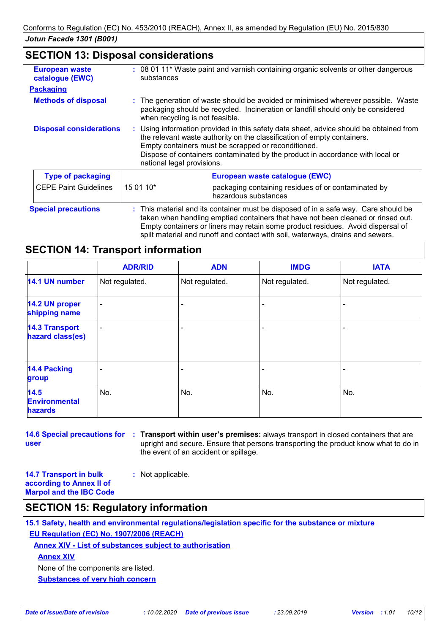## **SECTION 13: Disposal considerations**

| <b>European waste</b><br>catalogue (EWC) | : 08 01 11* Waste paint and varnish containing organic solvents or other dangerous<br>substances |                                                                                                                                                                                                                                                                                                           |  |
|------------------------------------------|--------------------------------------------------------------------------------------------------|-----------------------------------------------------------------------------------------------------------------------------------------------------------------------------------------------------------------------------------------------------------------------------------------------------------|--|
| <b>Packaging</b>                         |                                                                                                  |                                                                                                                                                                                                                                                                                                           |  |
| <b>Methods of disposal</b>               |                                                                                                  | : The generation of waste should be avoided or minimised wherever possible. Waste<br>packaging should be recycled. Incineration or landfill should only be considered<br>when recycling is not feasible.                                                                                                  |  |
| <b>Disposal considerations</b>           | national legal provisions.                                                                       | : Using information provided in this safety data sheet, advice should be obtained from<br>the relevant waste authority on the classification of empty containers.<br>Empty containers must be scrapped or reconditioned.<br>Dispose of containers contaminated by the product in accordance with local or |  |
| <b>Type of packaging</b>                 |                                                                                                  | European waste catalogue (EWC)                                                                                                                                                                                                                                                                            |  |
| <b>CEPE Paint Guidelines</b>             | 15 01 10*                                                                                        | packaging containing residues of or contaminated by<br>hazardous substances                                                                                                                                                                                                                               |  |
| <b>Special precautions</b>               |                                                                                                  | : This material and its container must be disposed of in a safe way. Care should be<br>taken when handling emptied containers that have not been cleaned or rinsed out.<br>Empty containers or liners may retain some product residues. Avoid dispersal of                                                |  |

spilt material and runoff and contact with soil, waterways, drains and sewers.

## **SECTION 14: Transport information**

|                                           | <b>ADR/RID</b> | <b>ADN</b>     | <b>IMDG</b>    | <b>IATA</b>              |
|-------------------------------------------|----------------|----------------|----------------|--------------------------|
| 14.1 UN number                            | Not regulated. | Not regulated. | Not regulated. | Not regulated.           |
| 14.2 UN proper<br>shipping name           | ۰              |                |                | $\overline{\phantom{0}}$ |
| <b>14.3 Transport</b><br>hazard class(es) | ۰              |                |                |                          |
| <b>14.4 Packing</b><br>group              |                |                |                |                          |
| 14.5<br><b>Environmental</b><br>hazards   | No.            | No.            | No.            | No.                      |

**14.6 Special precautions for : Transport within user's premises:** always transport in closed containers that are **user** upright and secure. Ensure that persons transporting the product know what to do in the event of an accident or spillage.

**14.7 Transport in bulk according to Annex II of Marpol and the IBC Code :** Not applicable.

## **SECTION 15: Regulatory information**

**15.1 Safety, health and environmental regulations/legislation specific for the substance or mixture EU Regulation (EC) No. 1907/2006 (REACH)**

**Annex XIV - List of substances subject to authorisation**

**Annex XIV**

None of the components are listed.

**Substances of very high concern**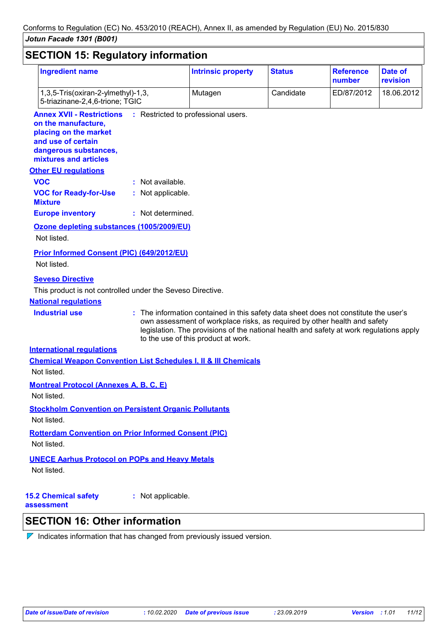| <b>Ingredient name</b>                                                                                                                                   |                   | <b>Intrinsic property</b>                                                                                                                                                                                                                                                                           | <b>Status</b> | <b>Reference</b><br>number | Date of<br>revision |
|----------------------------------------------------------------------------------------------------------------------------------------------------------|-------------------|-----------------------------------------------------------------------------------------------------------------------------------------------------------------------------------------------------------------------------------------------------------------------------------------------------|---------------|----------------------------|---------------------|
| 1,3,5-Tris(oxiran-2-ylmethyl)-1,3,<br>5-triazinane-2,4,6-trione; TGIC                                                                                    |                   | Mutagen                                                                                                                                                                                                                                                                                             | Candidate     | ED/87/2012                 | 18.06.2012          |
| <b>Annex XVII - Restrictions</b><br>on the manufacture,<br>placing on the market<br>and use of certain<br>dangerous substances,<br>mixtures and articles |                   | : Restricted to professional users.                                                                                                                                                                                                                                                                 |               |                            |                     |
| <b>Other EU regulations</b>                                                                                                                              |                   |                                                                                                                                                                                                                                                                                                     |               |                            |                     |
| <b>VOC</b>                                                                                                                                               | : Not available.  |                                                                                                                                                                                                                                                                                                     |               |                            |                     |
| <b>VOC for Ready-for-Use</b><br><b>Mixture</b>                                                                                                           | : Not applicable. |                                                                                                                                                                                                                                                                                                     |               |                            |                     |
| <b>Europe inventory</b>                                                                                                                                  | : Not determined. |                                                                                                                                                                                                                                                                                                     |               |                            |                     |
| Ozone depleting substances (1005/2009/EU)<br>Not listed.                                                                                                 |                   |                                                                                                                                                                                                                                                                                                     |               |                            |                     |
| <b>Prior Informed Consent (PIC) (649/2012/EU)</b><br>Not listed.                                                                                         |                   |                                                                                                                                                                                                                                                                                                     |               |                            |                     |
| <b>Seveso Directive</b>                                                                                                                                  |                   |                                                                                                                                                                                                                                                                                                     |               |                            |                     |
| This product is not controlled under the Seveso Directive.                                                                                               |                   |                                                                                                                                                                                                                                                                                                     |               |                            |                     |
| <b>National regulations</b>                                                                                                                              |                   |                                                                                                                                                                                                                                                                                                     |               |                            |                     |
| <b>Industrial use</b>                                                                                                                                    |                   | : The information contained in this safety data sheet does not constitute the user's<br>own assessment of workplace risks, as required by other health and safety<br>legislation. The provisions of the national health and safety at work regulations apply<br>to the use of this product at work. |               |                            |                     |
| <b>International regulations</b>                                                                                                                         |                   |                                                                                                                                                                                                                                                                                                     |               |                            |                     |
| <b>Chemical Weapon Convention List Schedules I, II &amp; III Chemicals</b>                                                                               |                   |                                                                                                                                                                                                                                                                                                     |               |                            |                     |
| Not listed.                                                                                                                                              |                   |                                                                                                                                                                                                                                                                                                     |               |                            |                     |
| <b>Montreal Protocol (Annexes A, B, C, E)</b><br>Not listed.                                                                                             |                   |                                                                                                                                                                                                                                                                                                     |               |                            |                     |
| <b>Stockholm Convention on Persistent Organic Pollutants</b><br>Not listed.                                                                              |                   |                                                                                                                                                                                                                                                                                                     |               |                            |                     |
| <b>Rotterdam Convention on Prior Informed Consent (PIC)</b>                                                                                              |                   |                                                                                                                                                                                                                                                                                                     |               |                            |                     |
| Not listed.                                                                                                                                              |                   |                                                                                                                                                                                                                                                                                                     |               |                            |                     |
|                                                                                                                                                          |                   |                                                                                                                                                                                                                                                                                                     |               |                            |                     |
| <b>UNECE Aarhus Protocol on POPs and Heavy Metals</b>                                                                                                    |                   |                                                                                                                                                                                                                                                                                                     |               |                            |                     |

**15.2 Chemical safety assessment**

**:** Not applicable.

# **SECTION 16: Other information**

 $\nabla$  Indicates information that has changed from previously issued version.